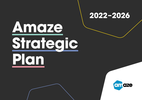### 2022 2026

# Amaze Strategic Plan

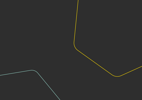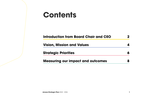## **Contents**

| Introduction from Board Chair and CEO    |   |
|------------------------------------------|---|
| <b>Vision, Mission and Values</b>        |   |
| <b>Strategic Priorities</b>              |   |
| <b>Measuring our impact and outcomes</b> | Я |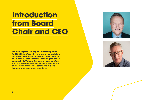# <span id="page-3-0"></span>**Introduction** from Board Chair and CEO

We are delighted to bring you our Strategic Plan for 2022-2026. We see this strategy as an evolution, not a revolution, which builds upon the foundations of Amaze's 50-year history of supporting the autism community in Victoria. The current make-up of our staff and Board reflects that we are now more part of a community than ever before and this has informed where we target our efforts.



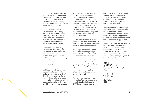In developing this strategy we have crafted a new Vision and Mission to reflect and communicate our renewed focus and what we want to achieve. Autism is a lifelong condition and we are here for Autistic people at all ages and stages.

Our reputation is based on our well-respected work in policy, advocacy, advice and support principally in Victoria. However, whilst we have a Victorian history and Victorian base, we need a national voice and national influence to realise our Vision.

Amaze has very successfully elevated the issues facing the Autistic community with policy makers and the wider public and this strategy builds on the work that has been done to date, in particular the work to address awareness, attitudes and understanding.

There is, however, much more work to be done. Our ambitions are significant and reflect the aspirations of our community. We don't shy away from this. Our aim is to contribute to the change our community wishes to see and it will require collaboration with others to achieve the goals we have set.

Partnership is the key to achieving our ambitions. We recognize that we are stronger with a shared voice and that working together leads to greater shared success. We will highlight the successes of all partners and shine a light on the great work being done in the sector. We will also actively promote the work of organisations breaking new ground, developing new practice and making an impact.

We aim to model behaviours and approaches that we hope others will follow and to incubate programs and initiatives that others may deliver.

In working in partnership, we know that Amaze can bring a unique contribution to the sector and the sector landscape. We are proud that Amaze is seen as a valued resource for and supporter of the autism community and autism sector more broadly. Our national Autism Connect helpline provides information to others and means that we are connected to issues affecting the autism community around the country.

This five-year strategy is situated in the reality of our times, responding to and reflecting the impact of COVID and a sense of urgency in

our actions. Now is the time to create change. While areas of focus in the strategic priorities listed in this strategy are not dramatically different, we are changing the way we focus our efforts.

Driven by the idea that the strength of a community can be measured by how it supports its most disadvantaged members, we aim to take a social justice approach to best direct our resources and support those who need our support most.

Our work will continue to be informed by best research practice and evidence. However, it is more important than ever that we continue to improve measurement of our progress and outcomes to ensure we are creating the greatest impact for our efforts.

Professor Warren Bebbinaton. Chair

Jim Mullan, CEO

Amaze Strategic Plan 2022 – 2026 3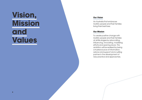# Vision, Mission and Values

### Our Vision

An Australia that embraces Autistic people and their families living their best lives.

### Our Mission

To create positive change with Autistic people and their families at all life stages by advocating, influencing, innovating, mobilising efforts and opening doors. This ambition will be realised by being a trusted source of information, advice and support and a willing partner in the development of new practice and approaches.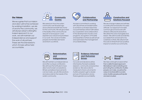### Our Values

We recognise that our mission and vision will not be achieved by working in isolation, we are of and for the community, we will always adopt a strengthsbased approach to our work, we will maintain our independence and support the work of all partners. These are the standards to which Amaze will be held accountable.



We were born from the autism community over 50 years ago and our Board and staff are of and for the community. We are grounded in the reality of the community we are part of and support. Lived experience is valued and prioritised in our work. The voices of Autistic people and families are heard and inform our efforts.



Amaze is committed to working with all partners and stakeholders to achieve our shared objectives. Our partnerships will be hallmarked by cooperation and collaboration in the development of policy and programs, recognition of the skills and expertise of others as well as trust and openness in the management of our relationships.



We are change makers and will take a constructive and solution-focused attitude. Our approach is to seek common ground and work with others to offer practical solutions. We will be the voice of progress and reason. We will innovate and identify successes that can be built on by ourselves or others. We will promote the work of others that has a positive impact on and for our community.



We will maintain our independence and offer a unique contribution. We will have the fortitude to have direct and honest conversations. Where we believe improvements can be made, we will offer solutions and advocate for the needs of the autism community.

| <b>Evidence Informed</b> |
|--------------------------|
| and Outcomes             |
| <b>Driven</b>            |
|                          |

Our work and decisions will be informed by the best available research, community and practice evidence. We advocate for measures to track outcomes for Autistic people to get a clearer picture of the situation and so there is greater accountability.



We take a strenaths-based rather than a deficit-based approach. We believe in demonstrating and promoting the contribution Autistic people can make, as well as the value of and benefits to society when Autistic people participate and are included.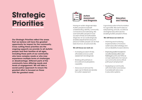# **Strategic** Priorities

Our Strategic Priorities reflect the areas that we believe will have the greatest opportunity for impact for the community. Cross cutting these priorities are the ongoing supports we provide to all Autistic people and their families at all ages, including those parts of our community who have complex needs or who may experience multiple forms of challenges or disadvantage. Different parts of the community have differing needs and levels of engagement. We will take a social justice approach to ensure the greatest effort is focused on those with the greatest need.



Having an autism diagnosis helps Autistic people to build selfunderstanding, identity, community connections and well-being. We want all Autistic people to have access to timely and affordable diagnosis. An accurate diagnosis enables adjustments to be put in place so Autistic people can do their best at school, at work and in life.

### We will focus our work on:

- Increasing access to timely, affordable and accurate assessment and diagnosis
- Working with partners on innovations to build systems capability
- Advocacy to remove the age cap for Medicare rebates for autism assessment



A good education is the foundation for a good life. We want to see our early learning, schools, vocational and higher education sectors enabling Autistic people to thrive.

### We will focus our work on:

- Informing and monitoring implementation of Victoria's autism education strategy and school disability inclusion reforms
- Improving autism inclusion in vocational education and training (in particular TAFE) as a major destination for many in our community and a critical pathway to employment
- Equipping our community with information and advice to enable self-advocacy in education systems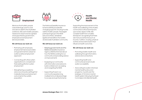

We know that Autistic people overwhelmingly want to work and are an asset to the Australian workforce. We want Autistic people's needs and value to be recognised and supported by government, employers and employment service providers.

### We will focus our work on:

- Partnering with employers, employment service providers and governments to adopt an autism positive employment approach
- Connecting with other autism organisations to complement their existing efforts in autism employment
- Strengthening our systemic advocacy for policy settings that markedly improve employment outcomes for the autistic population



The National Disability Insurance Scheme (NDIS) provides lifechanging supports. Ensuring it works well for Autistic people, the largest participant group in the NDIS (around a third), will deliver significant benefits to the Autistic and broader Australian community.

### We will focus our work on:

- Keeping governments and the National Disability Insurance Agency (NDIA) informed about how the NDIS is working for our community and providing advice on improvements
- Equipping our community with information and advice to build confidence in accessing and navigating the NDIS
- Supporting those in our community experiencing multiple forms of disadvantage to access and use the Scheme



Supporting the improvement of the health and wellbeing of the Autistic community is critical as it impacts upon every aspect of life. We consider health from a holistic standpoint, recognising that there are many social factors such as income, nutrition, housing, physical activity and social inclusion that influence health outcomes.

### We will focus our work on:

- Promoting Autistic health and wellbeing through information, advice and connections
- Supporting health and community services to build autism accessibility
- Advocating for autism-informed mental health policy and programs, in particular the redesign of Victoria's mental health system following the Royal Commission into Mental Health.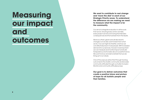# <span id="page-9-0"></span>**Measuring** our impact and outcomes

We want to contribute to real change and 'move the dial' in each of our Strategic Priority areas. To understand the difference we are making we need to measure what the impact is for the community.

Our aim is to integrate evaluation in all the work that we do. Ensuring every action we take, every project we roll out is having the intended consequences and that we learn from the results.

We know others' great work will also lead to changes, but we also want to learn from what we do, how we might do it better, and how we can effectively reach more people. With increased demand for our services, it is even more important we can measure and monitor impact and build transparency and honesty about our performance. We want to know and demonstrate that we are living up to our values.

One of the ways we will do this it through tracking outcomes for the Autistic community and broader community attitudes through our Autism Inclusion Monitor and community attitudes surveys.

Our goal is to deliver outcomes that create a positive future and picture of hope for all Autistic people and their families.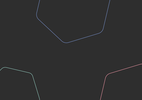